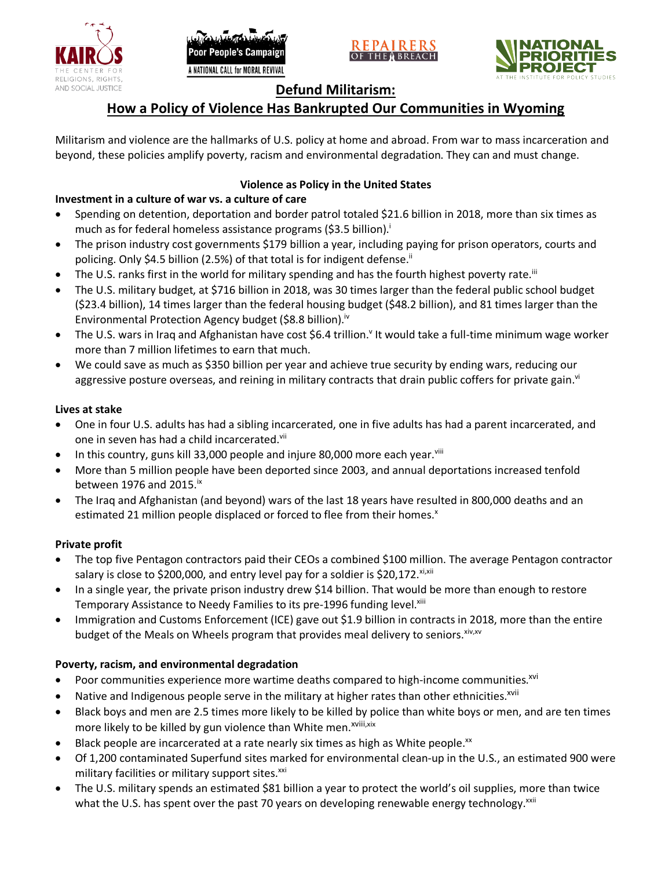





# **Defund Militarism:**

# **How a Policy of Violence Has Bankrupted Our Communities in Wyoming**

Militarism and violence are the hallmarks of U.S. policy at home and abroad. From war to mass incarceration and beyond, these policies amplify poverty, racism and environmental degradation. They can and must change.

# **Violence as Policy in the United States**

# **Investment in a culture of war vs. a culture of care**

- Spending on detention, deportation and border patrol totaled \$21.6 billion in 2018, more than six times as much as for federal homeless assistance programs (\$3.5 billion).<sup>i</sup>
- The prison industry cost governments \$179 billion a year, including paying for prison operators, courts and policing. Only \$4.5 billion (2.5%) of that total is for indigent defense.<sup>ii</sup>
- The U.S. ranks first in the world for military spending and has the fourth highest poverty rate.<sup>iii</sup>
- The U.S. military budget, at \$716 billion in 2018, was 30 times larger than the federal public school budget (\$23.4 billion), 14 times larger than the federal housing budget (\$48.2 billion), and 81 times larger than the Environmental Protection Agency budget (\$8.8 billion).<sup>iv</sup>
- The U.S. wars in Iraq and Afghanistan have cost \$6.4 trillion.<sup>v</sup> It would take a full-time minimum wage worker more than 7 million lifetimes to earn that much.
- We could save as much as \$350 billion per year and achieve true security by ending wars, reducing our aggressive posture overseas, and reining in military contracts that drain public coffers for private gain.<sup>vi</sup>

### **Lives at stake**

- One in four U.S. adults has had a sibling incarcerated, one in five adults has had a parent incarcerated, and one in seven has had a child incarcerated.vii
- In this country, guns kill 33,000 people and injure 80,000 more each year. $v_{\text{lin}}$
- More than 5 million people have been deported since 2003, and annual deportations increased tenfold between 1976 and 2015. $\mathrm{i}$ <sup>x</sup>
- The Iraq and Afghanistan (and beyond) wars of the last 18 years have resulted in 800,000 deaths and an estimated 21 million people displaced or forced to flee from their homes.<sup>x</sup>

## **Private profit**

- The top five Pentagon contractors paid their CEOs a combined \$100 million. The average Pentagon contractor salary is close to \$200,000, and entry level pay for a soldier is \$20,172. xi,xii
- In a single year, the private prison industry drew \$14 billion. That would be more than enough to restore Temporary Assistance to Needy Families to its pre-1996 funding level.<sup>xiii</sup>
- Immigration and Customs Enforcement (ICE) gave out \$1.9 billion in contracts in 2018, more than the entire budget of the Meals on Wheels program that provides meal delivery to seniors. Xiv, XV

## **Poverty, racism, and environmental degradation**

- Poor communities experience more wartime deaths compared to high-income communities.<sup>xvi</sup>
- Native and Indigenous people serve in the military at higher rates than other ethnicities.<sup>xvii</sup>
- Black boys and men are 2.5 times more likely to be killed by police than white boys or men, and are ten times more likely to be killed by gun violence than White men.<sup>xviii,xix</sup>
- Black people are incarcerated at a rate nearly six times as high as White people.<sup>xx</sup>
- Of 1,200 contaminated Superfund sites marked for environmental clean-up in the U.S., an estimated 900 were military facilities or military support sites.<sup>xxi</sup>
- The U.S. military spends an estimated \$81 billion a year to protect the world's oil supplies, more than twice what the U.S. has spent over the past 70 years on developing renewable energy technology.<sup>xxii</sup>